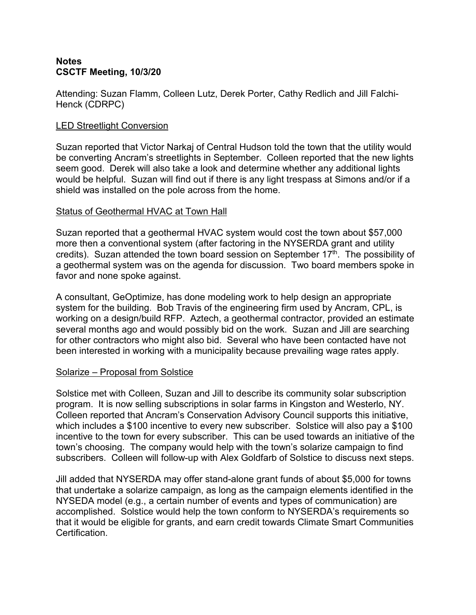# **Notes CSCTF Meeting, 10/3/20**

Attending: Suzan Flamm, Colleen Lutz, Derek Porter, Cathy Redlich and Jill Falchi- Henck (CDRPC)

# LED Streetlight Conversion

Suzan reported that Victor Narkaj of Central Hudson told the town that the utility would be converting Ancram's streetlights in September. Colleen reported that the new lights seem good. Derek will also take a look and determine whether any additional lights would be helpful. Suzan will find out if there is any light trespass at Simons and/or if a shield was installed on the pole across from the home.

### Status of Geothermal HVAC at Town Hall

Suzan reported that a geothermal HVAC system would costthe town about \$57,000 more then a conventional system (after factoring in the NYSERDA grant and utility credits). Suzan attended the town board session on September 17<sup>th</sup>. The possibility of a geothermal system was on the agenda for discussion. Two board members spoke in favor and none spoke against.

A consultant, GeOptimize, has done modeling work to help design an appropriate system for the building. Bob Travis of the engineering firm used by Ancram, CPL, is working on a design/build RFP. Aztech, a geothermal contractor, provided an estimate several months ago and would possibly bid on the work. Suzan and Jill are searching for other contractors who might also bid. Several who have been contacted have not been interested in working with a municipality because prevailing wage rates apply.

### Solarize – Proposal from Solstice

Solstice met with Colleen, Suzan and Jill to describe its community solar subscription program. It is now selling subscriptions in solar farms in Kingston and Westerlo, NY. Colleen reported that Ancram's Conservation Advisory Council supports this initiative, which includes a \$100 incentive to every new subscriber. Solstice will also pay a \$100 incentive to the town for every subscriber. This can be used towards an initiative of the town's choosing. The company would help with the town's solarize campaign to find subscribers. Colleen will follow-up with Alex Goldfarb of Solstice to discuss next steps.

Jill added that NYSERDA may offer stand-alone grant funds of about \$5,000 for towns that undertake a solarize campaign, as long as the campaign elements identified in the NYSEDA model (e.g., a certain number of events and types of communication) are accomplished. Solstice would help the town conform to NYSERDA's requirements so that it would be eligible for grants, and earn credit towards Climate Smart Communities **Certification**